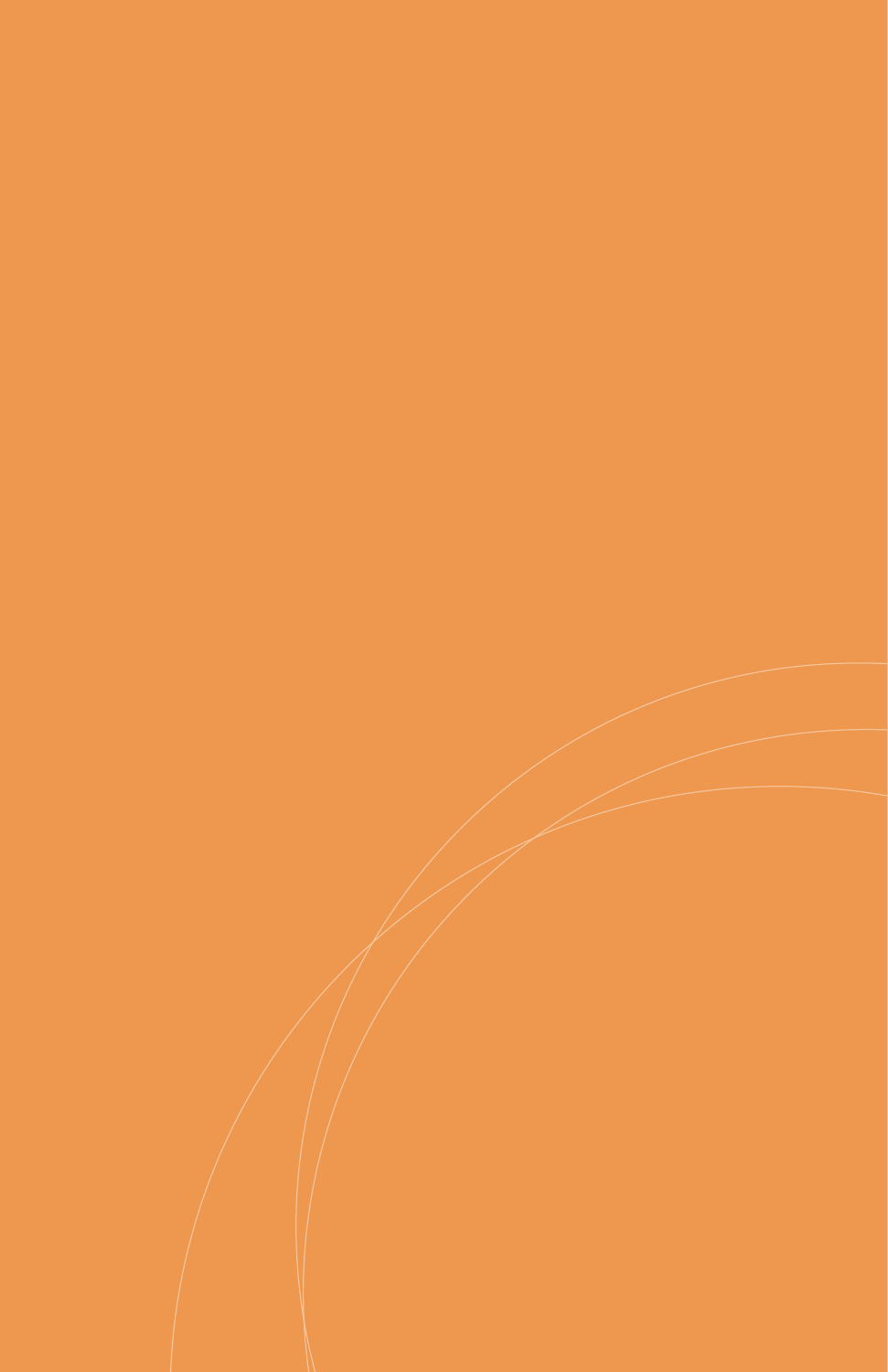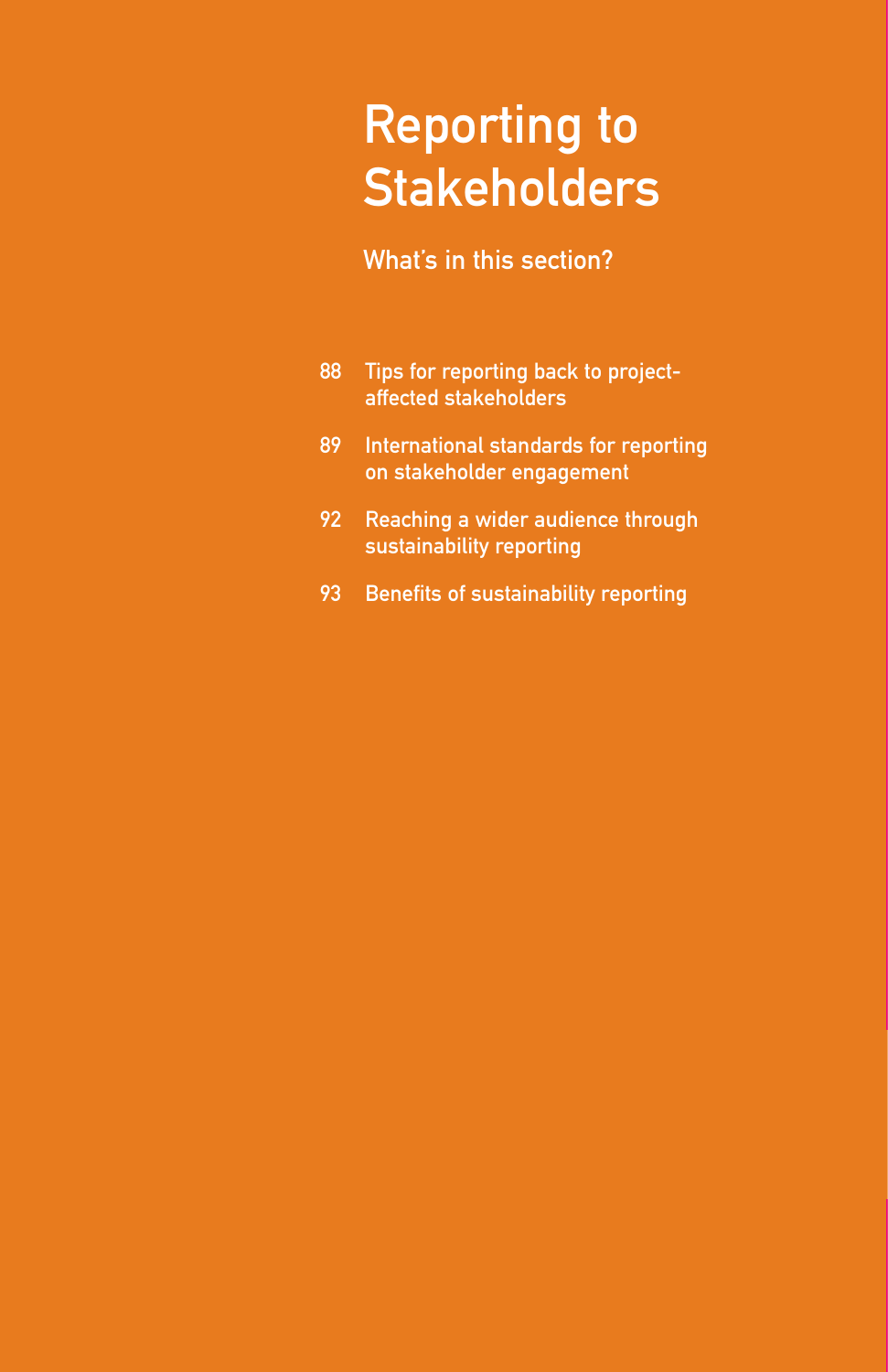# Reporting to **Stakeholders**

## What's in this section?

- 88 Tips for reporting back to projectaffected stakeholders
- 89 International standards for reporting on stakeholder engagement
- 92 Reaching a wider audience through sustainability reporting
- 93 Benefits of sustainability reporting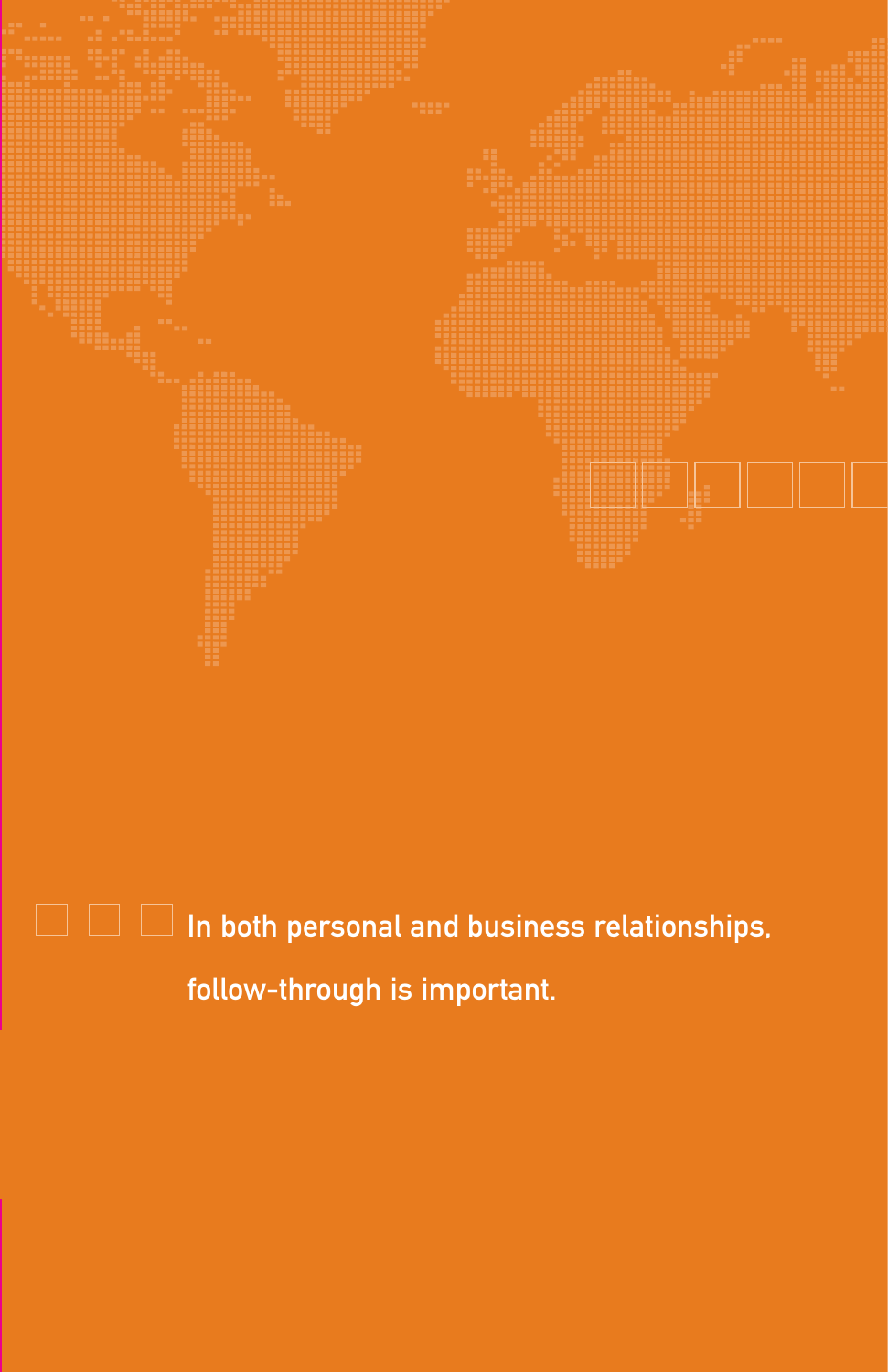

 $\Box$  $\Box$  In both personal and business relationships, follow-through is important.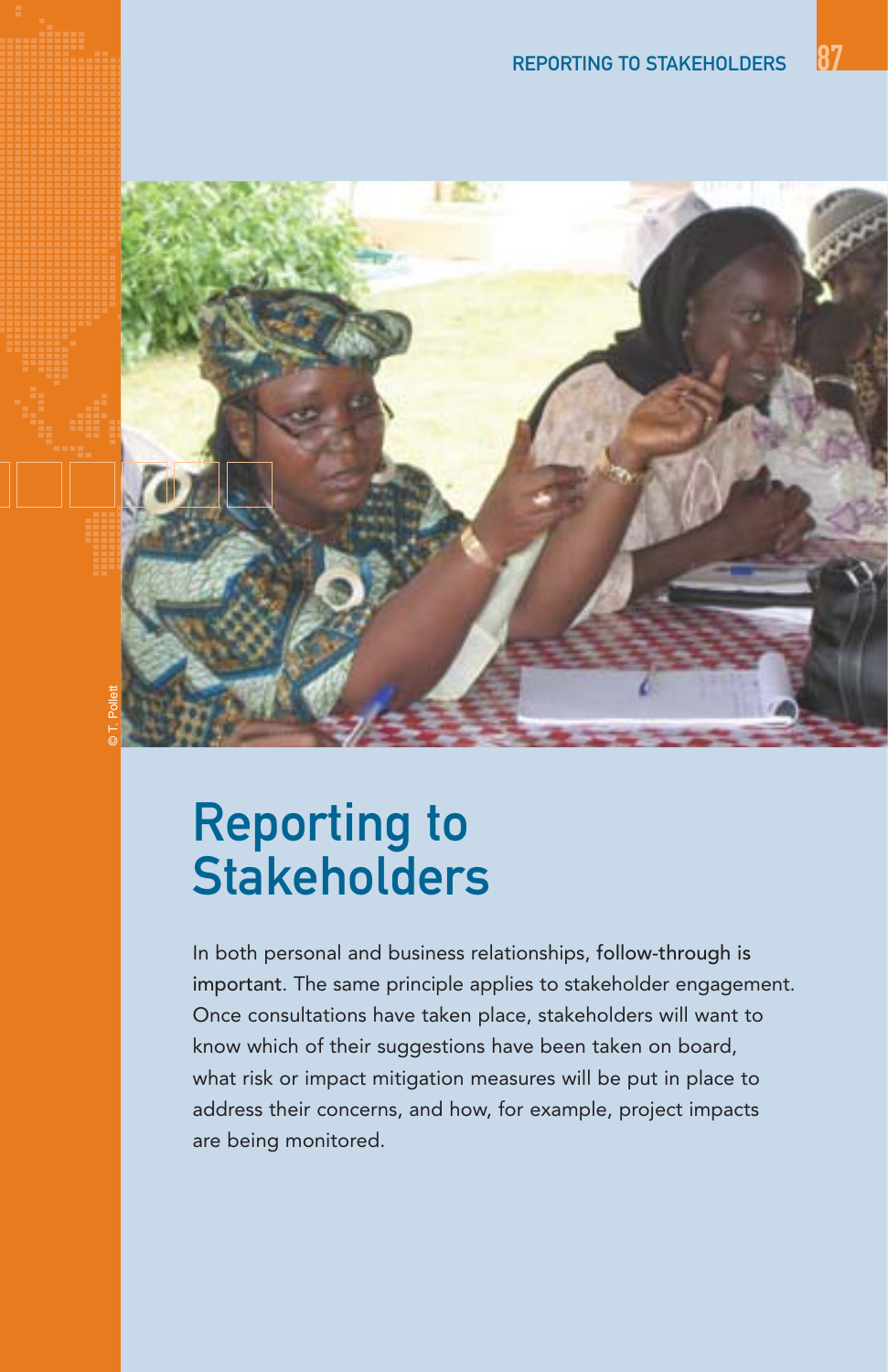

## Reporting to **Stakeholders**

In both personal and business relationships, follow-through is important. The same principle applies to stakeholder engagement. Once consultations have taken place, stakeholders will want to know which of their suggestions have been taken on board, what risk or impact mitigation measures will be put in place to address their concerns, and how, for example, project impacts are being monitored.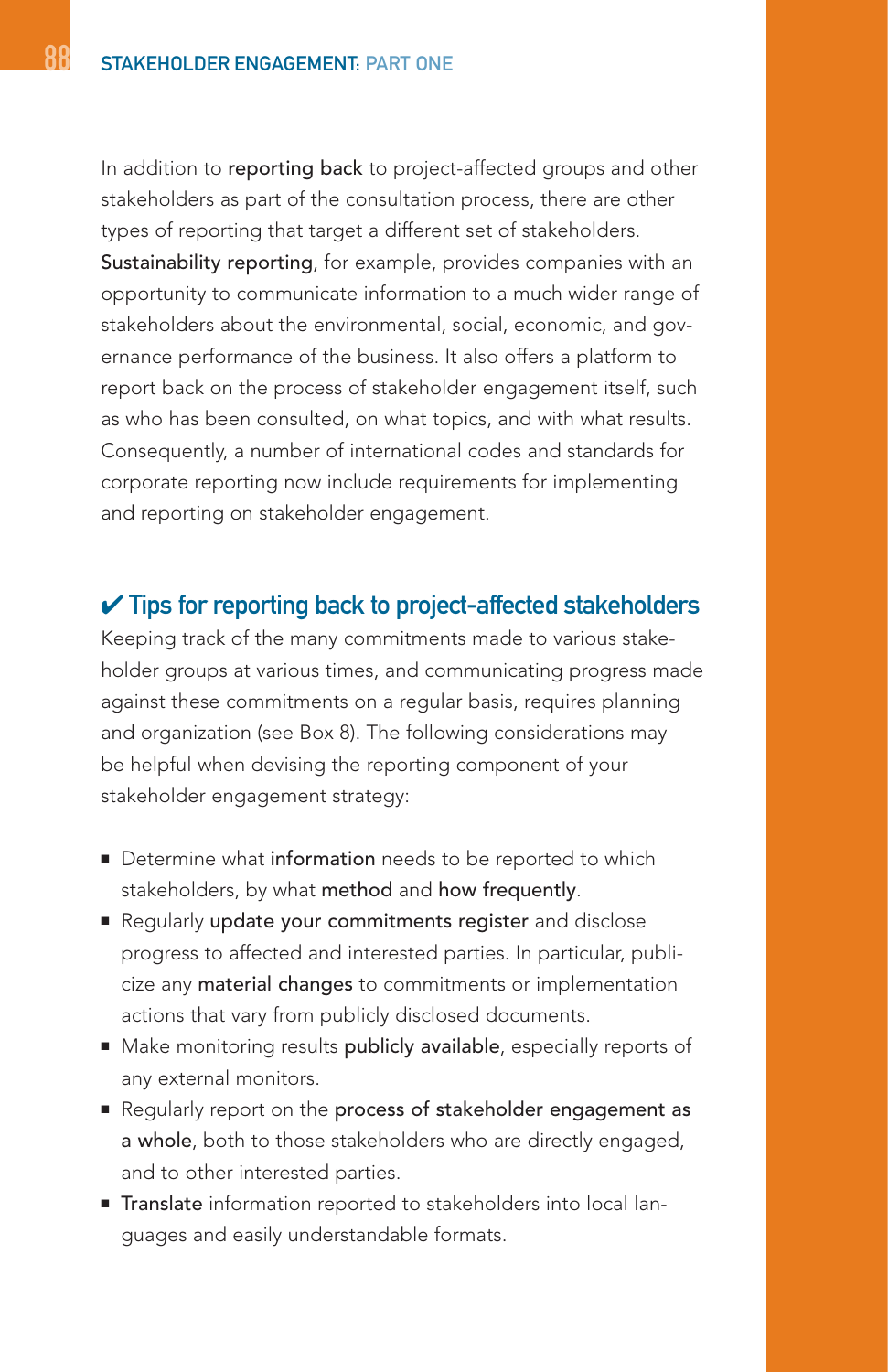In addition to reporting back to project-affected groups and other stakeholders as part of the consultation process, there are other types of reporting that target a different set of stakeholders. Sustainability reporting, for example, provides companies with an opportunity to communicate information to a much wider range of stakeholders about the environmental, social, economic, and governance performance of the business. It also offers a platform to report back on the process of stakeholder engagement itself, such as who has been consulted, on what topics, and with what results. Consequently, a number of international codes and standards for corporate reporting now include requirements for implementing and reporting on stakeholder engagement.

## $\checkmark$  Tips for reporting back to project-affected stakeholders

Keeping track of the many commitments made to various stakeholder groups at various times, and communicating progress made against these commitments on a regular basis, requires planning and organization (see Box 8). The following considerations may be helpful when devising the reporting component of your stakeholder engagement strategy:

- Determine what information needs to be reported to which stakeholders, by what method and how frequently.
- Regularly update your commitments register and disclose progress to affected and interested parties. In particular, publicize any material changes to commitments or implementation actions that vary from publicly disclosed documents.
- Make monitoring results publicly available, especially reports of any external monitors.
- Regularly report on the process of stakeholder engagement as a whole, both to those stakeholders who are directly engaged, and to other interested parties.
- Translate information reported to stakeholders into local languages and easily understandable formats.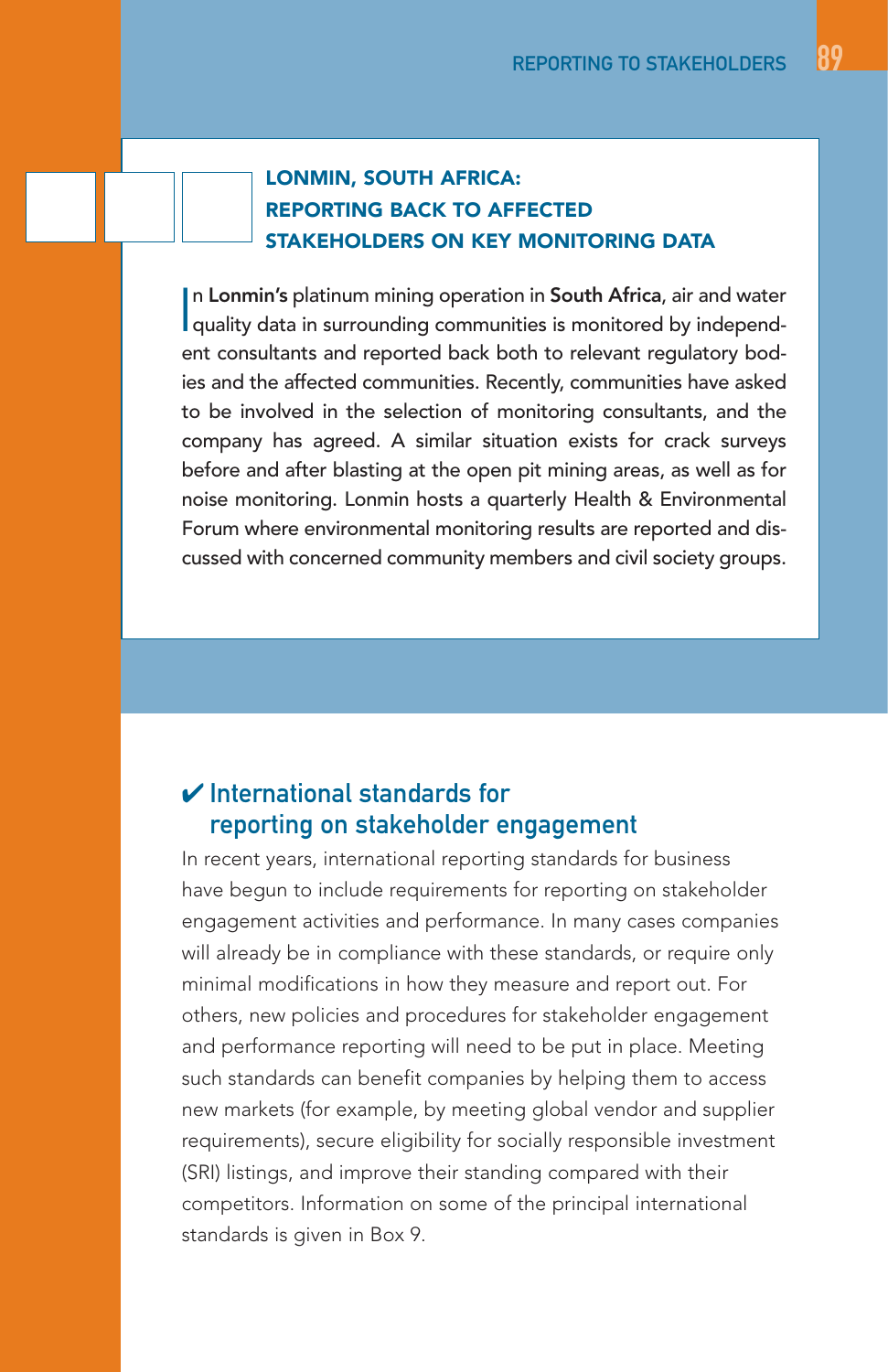## LONMIN, SOUTH AFRICA: REPORTING BACK TO AFFECTED STAKEHOLDERS ON KEY MONITORING DATA

In Lonmin's platinum mining operation in South Africa, air and water<br>quality data in surrounding communities is monitored by independ-In Lonmin's platinum mining operation in South Africa, air and water ent consultants and reported back both to relevant regulatory bodies and the affected communities. Recently, communities have asked to be involved in the selection of monitoring consultants, and the company has agreed. A similar situation exists for crack surveys before and after blasting at the open pit mining areas, as well as for noise monitoring. Lonmin hosts a quarterly Health & Environmental Forum where environmental monitoring results are reported and discussed with concerned community members and civil society groups.

## $\vee$  International standards for reporting on stakeholder engagement

In recent years, international reporting standards for business have begun to include requirements for reporting on stakeholder engagement activities and performance. In many cases companies will already be in compliance with these standards, or require only minimal modifications in how they measure and report out. For others, new policies and procedures for stakeholder engagement and performance reporting will need to be put in place. Meeting such standards can benefit companies by helping them to access new markets (for example, by meeting global vendor and supplier requirements), secure eligibility for socially responsible investment (SRI) listings, and improve their standing compared with their competitors. Information on some of the principal international standards is given in Box 9.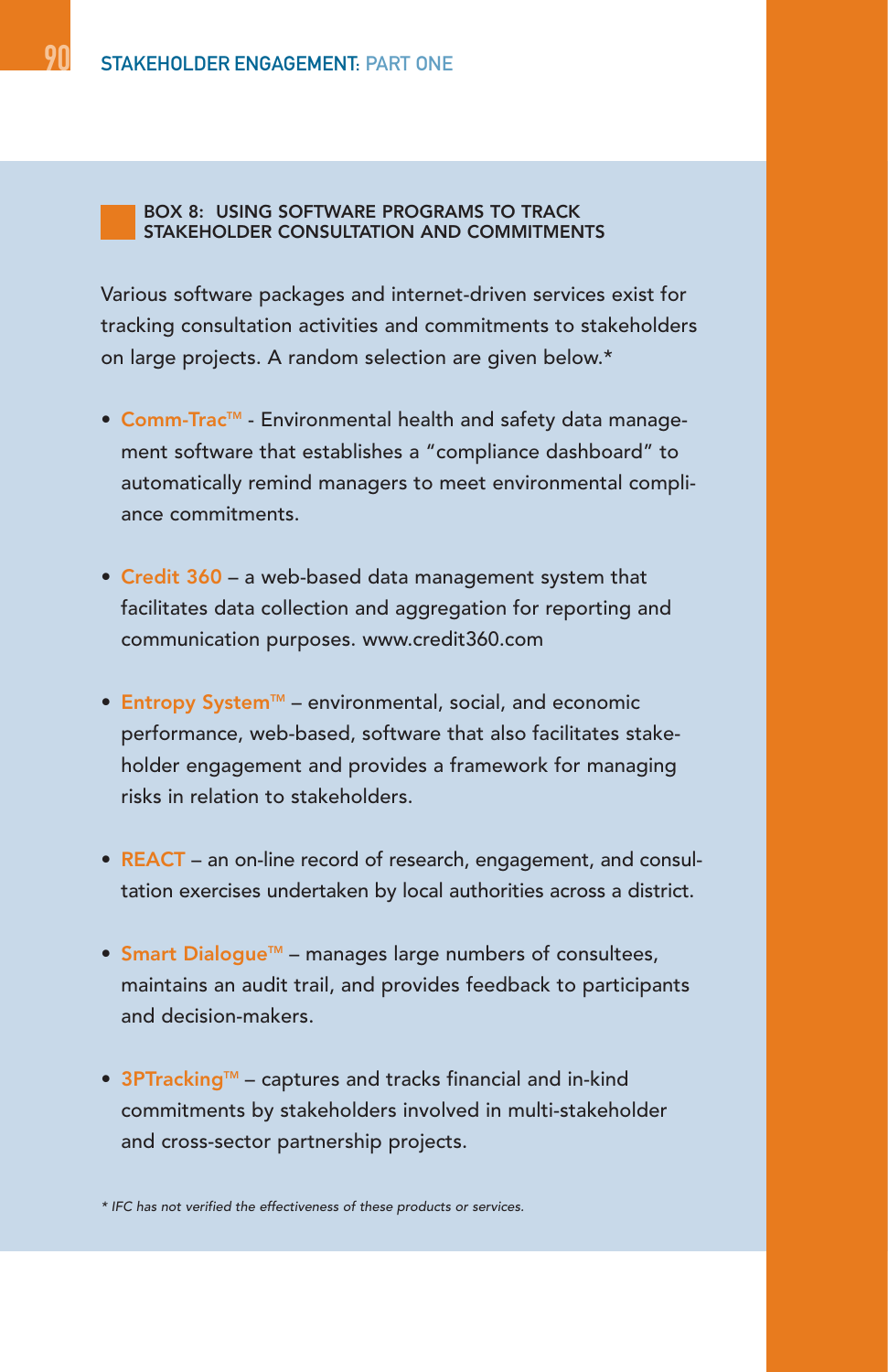#### BOX 8: USING SOFTWARE PROGRAMS TO TRACK STAKEHOLDER CONSULTATION AND COMMITMENTS

Various software packages and internet-driven services exist for tracking consultation activities and commitments to stakeholders on large projects. A random selection are given below.\*

- Comm-Trac<sup>™</sup> Environmental health and safety data management software that establishes a "compliance dashboard" to automatically remind managers to meet environmental compliance commitments.
- Credit 360 a web-based data management system that facilitates data collection and aggregation for reporting and communication purposes. www.credit360.com
- $\bullet$  Entropy System<sup>TM</sup> environmental, social, and economic performance, web-based, software that also facilitates stakeholder engagement and provides a framework for managing risks in relation to stakeholders.
- **REACT** an on-line record of research, engagement, and consultation exercises undertaken by local authorities across a district.
- Smart Dialogue $TM$  manages large numbers of consultees, maintains an audit trail, and provides feedback to participants and decision-makers.
- 3PTracking<sup>TM</sup> captures and tracks financial and in-kind commitments by stakeholders involved in multi-stakeholder and cross-sector partnership projects.

\* IFC has not verified the effectiveness of these products or services.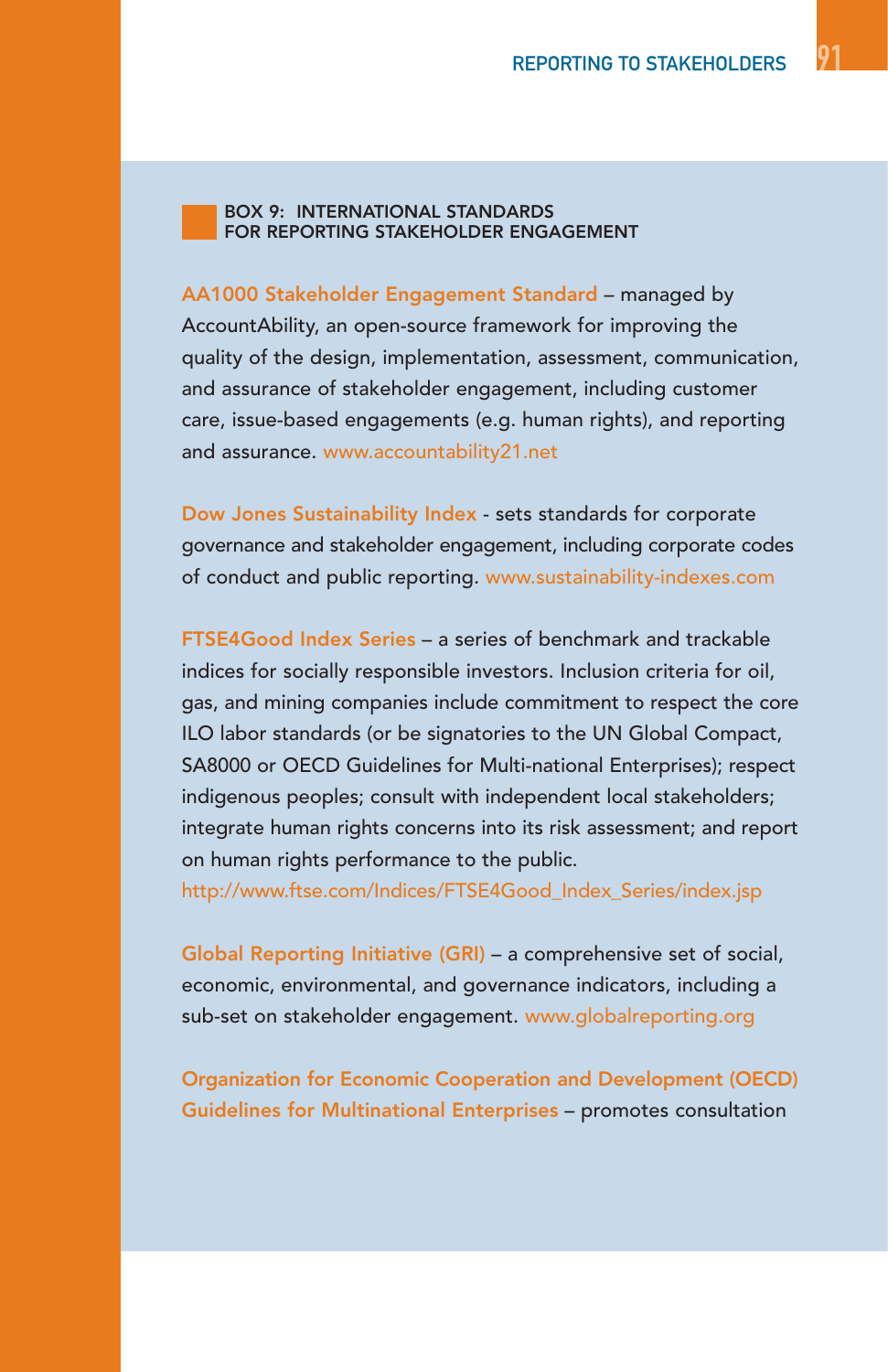#### BOX 9: INTERNATIONAL STANDARDS FOR REPORTING STAKEHOLDER ENGAGEMENT

AA1000 Stakeholder Engagement Standard – managed by AccountAbility, an open-source framework for improving the quality of the design, implementation, assessment, communication, and assurance of stakeholder engagement, including customer care, issue-based engagements (e.g. human rights), and reporting and assurance. www.accountability21.net

Dow Jones Sustainability Index - sets standards for corporate governance and stakeholder engagement, including corporate codes of conduct and public reporting. www.sustainability-indexes.com

FTSE4Good Index Series – a series of benchmark and trackable indices for socially responsible investors. Inclusion criteria for oil, gas, and mining companies include commitment to respect the core ILO labor standards (or be signatories to the UN Global Compact, SA8000 or OECD Guidelines for Multi-national Enterprises); respect indigenous peoples; consult with independent local stakeholders; integrate human rights concerns into its risk assessment; and report on human rights performance to the public.

http://www.ftse.com/Indices/FTSE4Good\_Index\_Series/index.jsp

Global Reporting Initiative (GRI) – a comprehensive set of social, economic, environmental, and governance indicators, including a sub-set on stakeholder engagement. www.globalreporting.org

Organization for Economic Cooperation and Development (OECD) Guidelines for Multinational Enterprises – promotes consultation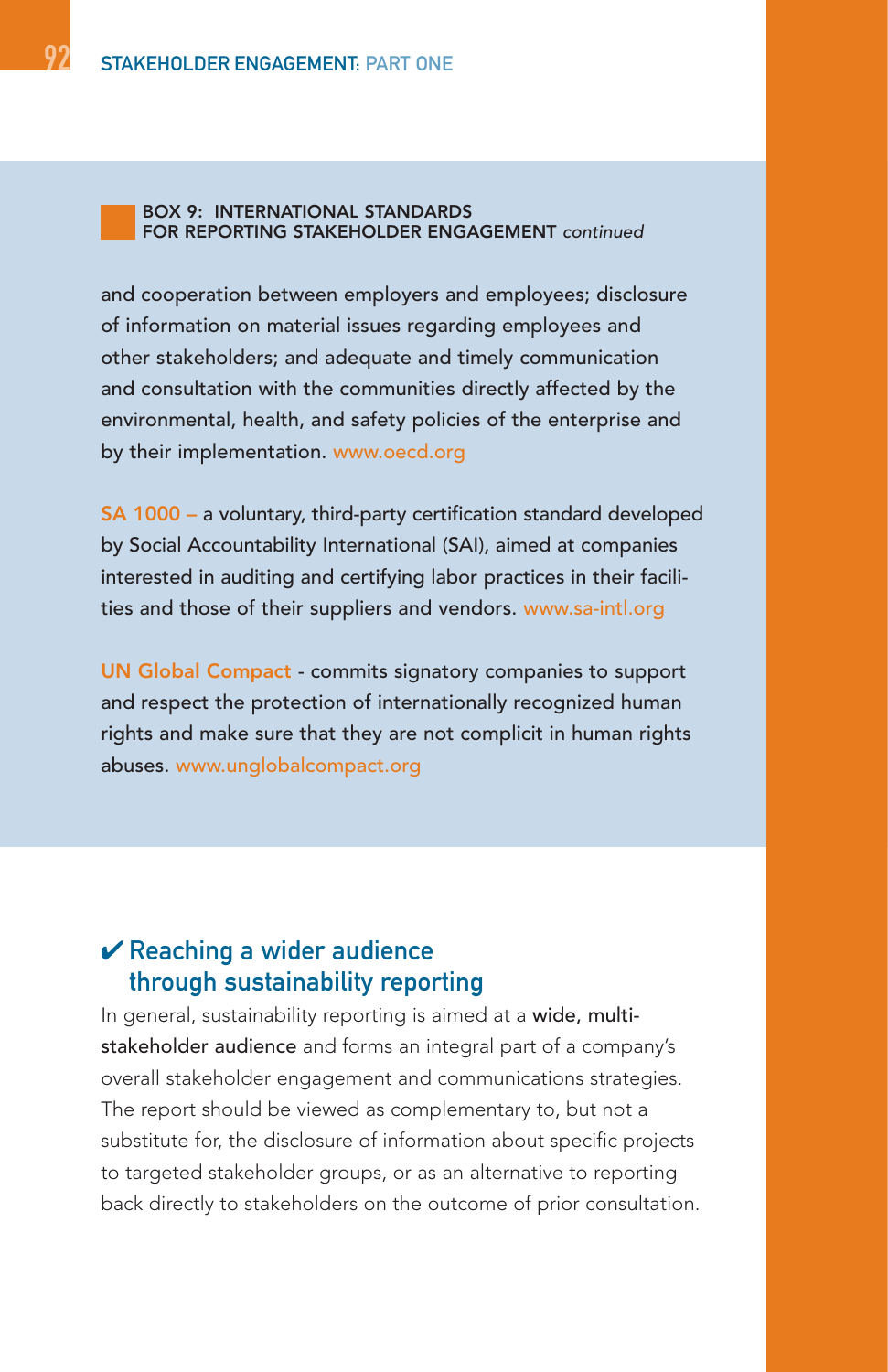#### BOX 9: INTERNATIONAL STANDARDS FOR REPORTING STAKEHOLDER ENGAGEMENT continued

and cooperation between employers and employees; disclosure of information on material issues regarding employees and other stakeholders; and adequate and timely communication and consultation with the communities directly affected by the environmental, health, and safety policies of the enterprise and by their implementation. www.oecd.org

SA 1000 – a voluntary, third-party certification standard developed by Social Accountability International (SAI), aimed at companies interested in auditing and certifying labor practices in their facilities and those of their suppliers and vendors. www.sa-intl.org

UN Global Compact - commits signatory companies to support and respect the protection of internationally recognized human rights and make sure that they are not complicit in human rights abuses. www.unglobalcompact.org

## $\vee$  Reaching a wider audience through sustainability reporting

In general, sustainability reporting is aimed at a wide, multistakeholder audience and forms an integral part of a company's overall stakeholder engagement and communications strategies. The report should be viewed as complementary to, but not a substitute for, the disclosure of information about specific projects to targeted stakeholder groups, or as an alternative to reporting back directly to stakeholders on the outcome of prior consultation.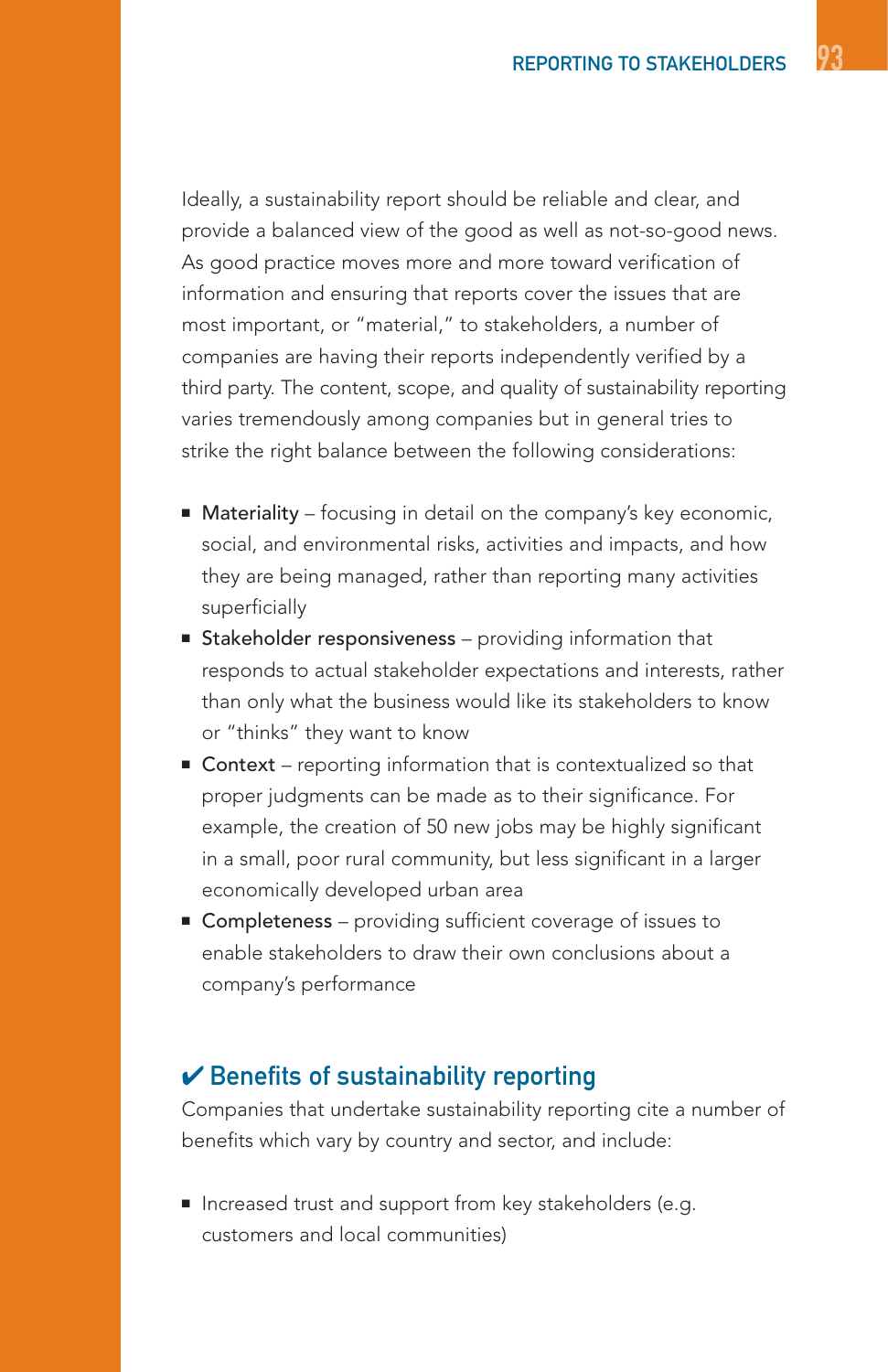Ideally, a sustainability report should be reliable and clear, and provide a balanced view of the good as well as not-so-good news. As good practice moves more and more toward verification of information and ensuring that reports cover the issues that are most important, or "material," to stakeholders, a number of companies are having their reports independently verified by a third party. The content, scope, and quality of sustainability reporting varies tremendously among companies but in general tries to strike the right balance between the following considerations:

- Materiality focusing in detail on the company's key economic, social, and environmental risks, activities and impacts, and how they are being managed, rather than reporting many activities superficially
- Stakeholder responsiveness providing information that responds to actual stakeholder expectations and interests, rather than only what the business would like its stakeholders to know or "thinks" they want to know
- Context reporting information that is contextualized so that proper judgments can be made as to their significance. For example, the creation of 50 new jobs may be highly significant in a small, poor rural community, but less significant in a larger economically developed urban area
- Completeness providing sufficient coverage of issues to enable stakeholders to draw their own conclusions about a company's performance

## $\vee$  Benefits of sustainability reporting

Companies that undertake sustainability reporting cite a number of benefits which vary by country and sector, and include:

■ Increased trust and support from key stakeholders (e.g. customers and local communities)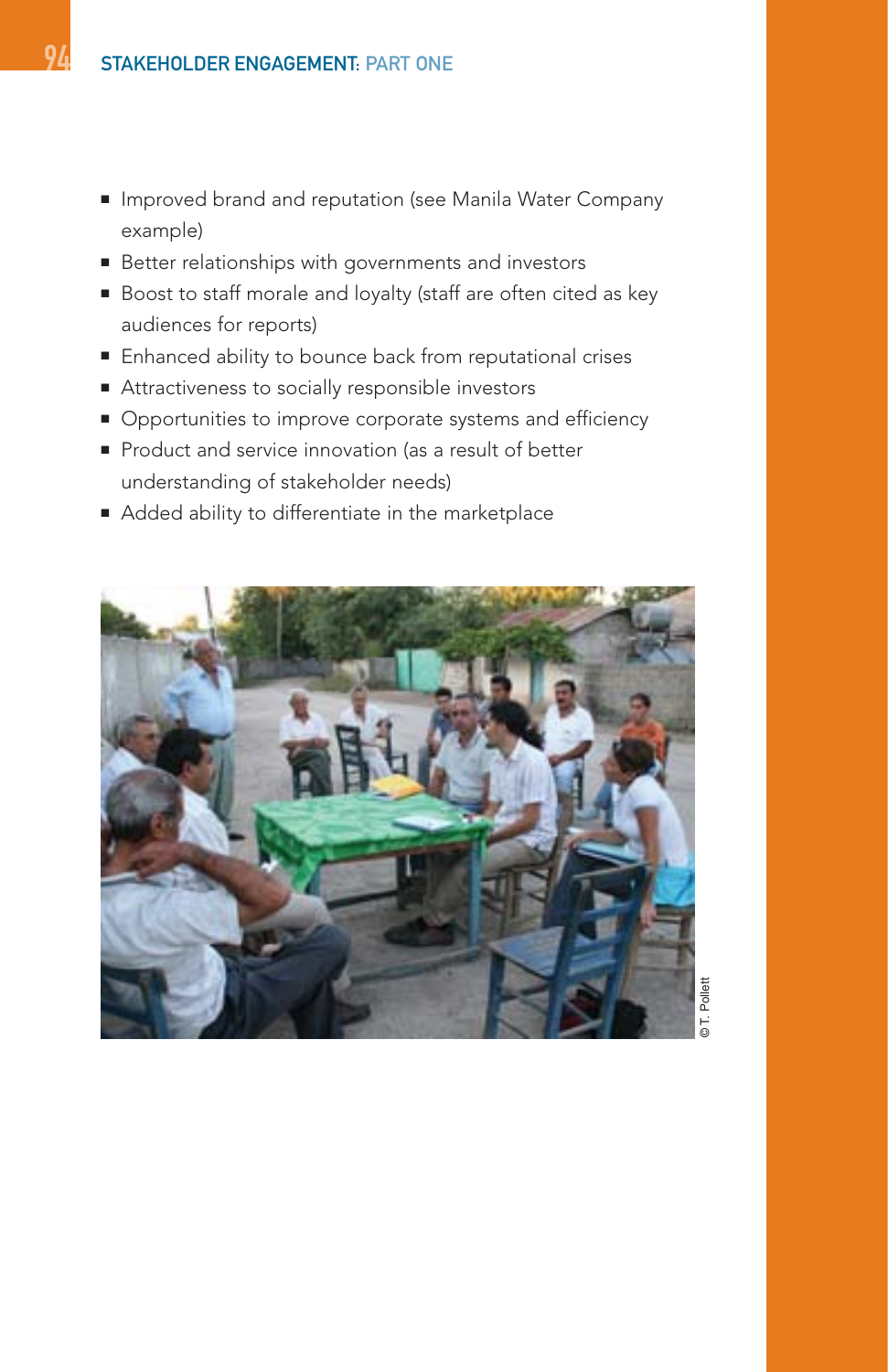- Improved brand and reputation (see Manila Water Company example)
- Better relationships with governments and investors
- Boost to staff morale and loyalty (staff are often cited as key audiences for reports)
- Enhanced ability to bounce back from reputational crises
- Attractiveness to socially responsible investors
- Opportunities to improve corporate systems and efficiency
- Product and service innovation (as a result of better understanding of stakeholder needs)
- Added ability to differentiate in the marketplace



© T. PollettT. Pollet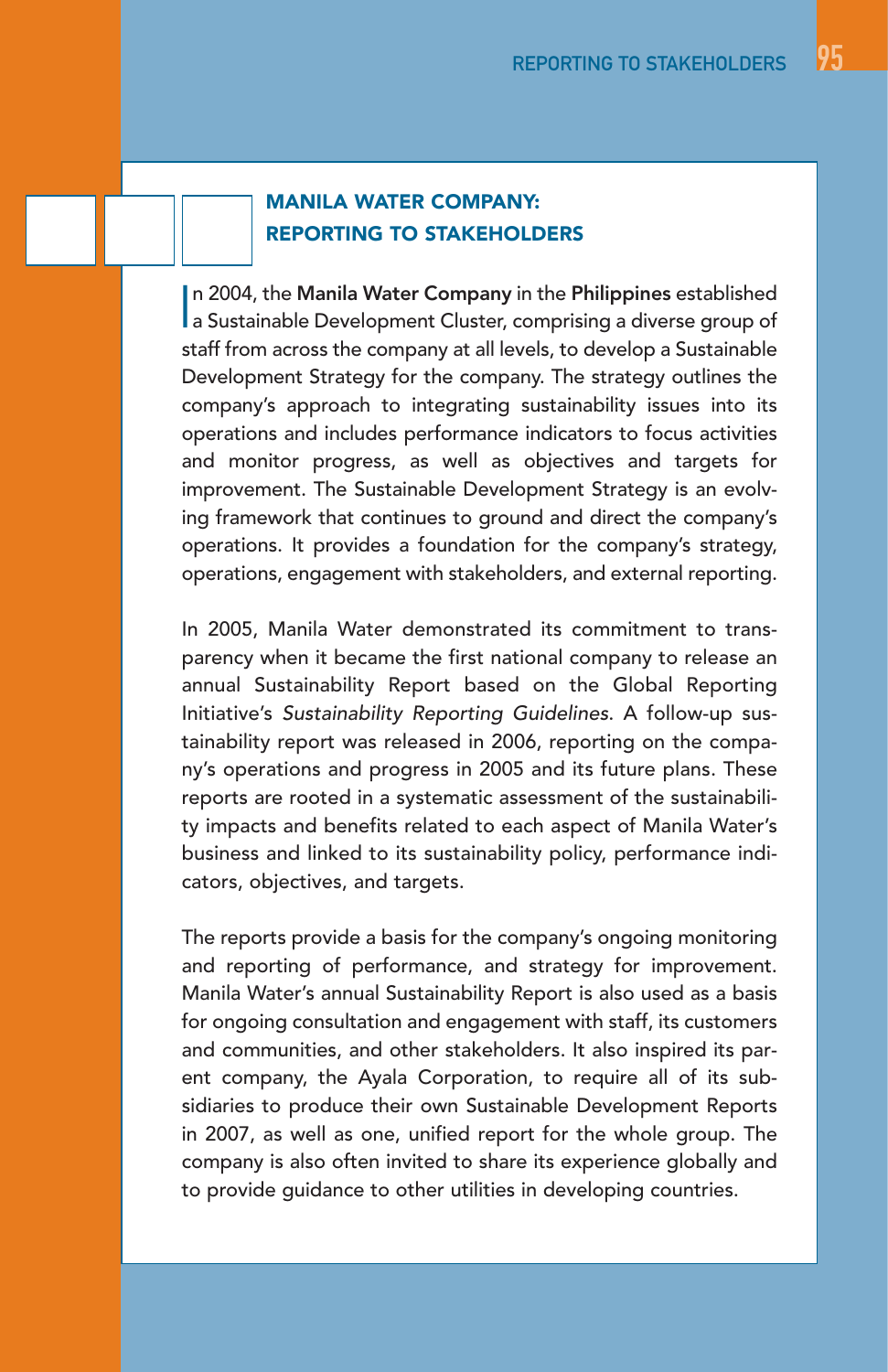## MANILA WATER COMPANY: REPORTING TO STAKEHOLDERS

I a Sustainable Development Cluster, comprising a diverse group of In 2004, the Manila Water Company in the Philippines established staff from across the company at all levels, to develop a Sustainable Development Strategy for the company. The strategy outlines the company's approach to integrating sustainability issues into its operations and includes performance indicators to focus activities and monitor progress, as well as objectives and targets for improvement. The Sustainable Development Strategy is an evolving framework that continues to ground and direct the company's operations. It provides a foundation for the company's strategy, operations, engagement with stakeholders, and external reporting.

In 2005, Manila Water demonstrated its commitment to transparency when it became the first national company to release an annual Sustainability Report based on the Global Reporting Initiative's Sustainability Reporting Guidelines. A follow-up sustainability report was released in 2006, reporting on the company's operations and progress in 2005 and its future plans. These reports are rooted in a systematic assessment of the sustainability impacts and benefits related to each aspect of Manila Water's business and linked to its sustainability policy, performance indicators, objectives, and targets.

The reports provide a basis for the company's ongoing monitoring and reporting of performance, and strategy for improvement. Manila Water's annual Sustainability Report is also used as a basis for ongoing consultation and engagement with staff, its customers and communities, and other stakeholders. It also inspired its parent company, the Ayala Corporation, to require all of its subsidiaries to produce their own Sustainable Development Reports in 2007, as well as one, unified report for the whole group. The company is also often invited to share its experience globally and to provide guidance to other utilities in developing countries.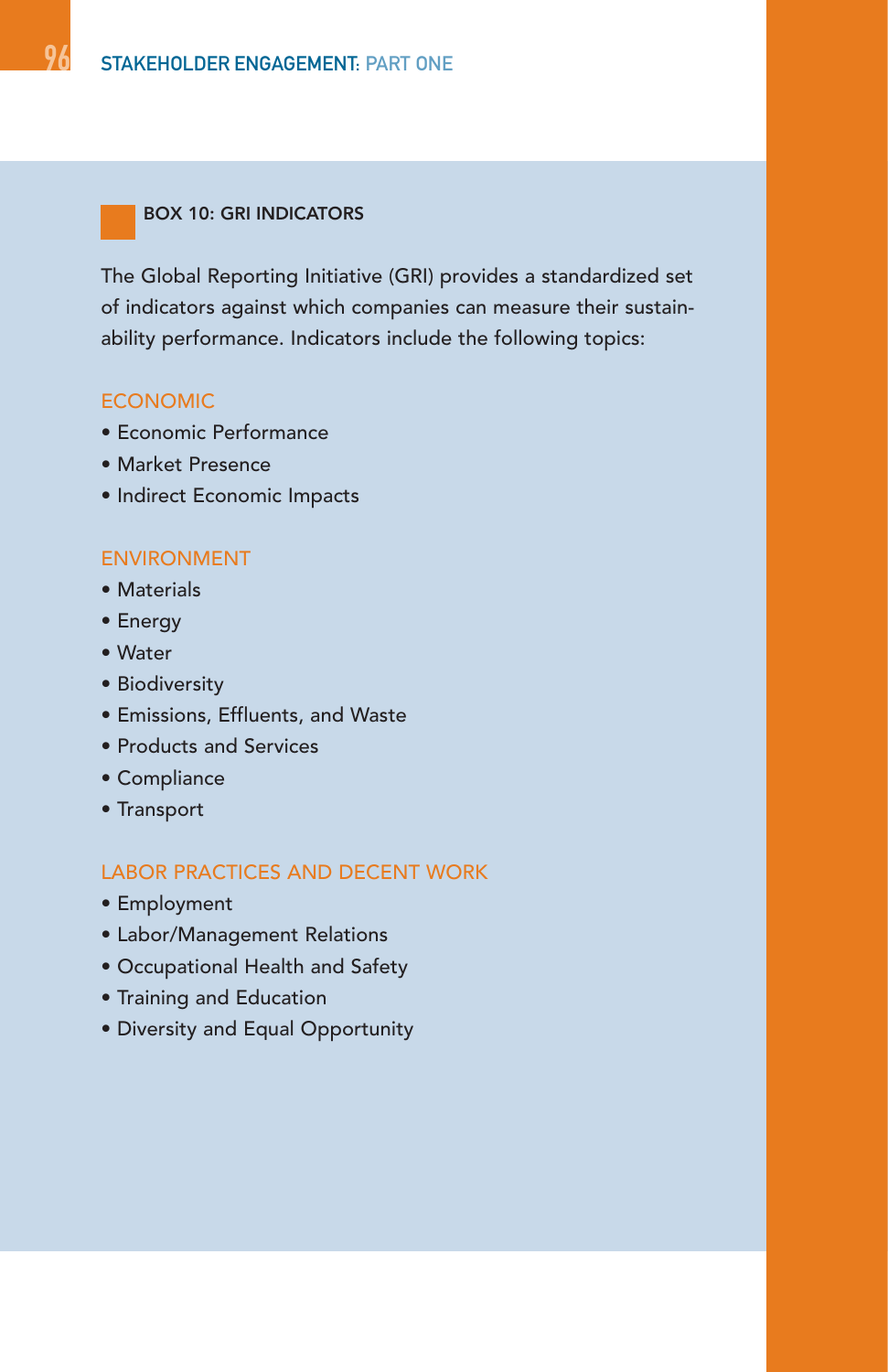#### BOX 10: GRI INDICATORS

The Global Reporting Initiative (GRI) provides a standardized set of indicators against which companies can measure their sustainability performance. Indicators include the following topics:

## ECONOMIC

- Economic Performance
- Market Presence
- Indirect Economic Impacts

### ENVIRONMENT

- Materials
- Energy
- Water
- Biodiversity
- Emissions, Effluents, and Waste
- Products and Services
- Compliance
- Transport

## LABOR PRACTICES AND DECENT WORK

- Employment
- Labor/Management Relations
- Occupational Health and Safety
- Training and Education
- Diversity and Equal Opportunity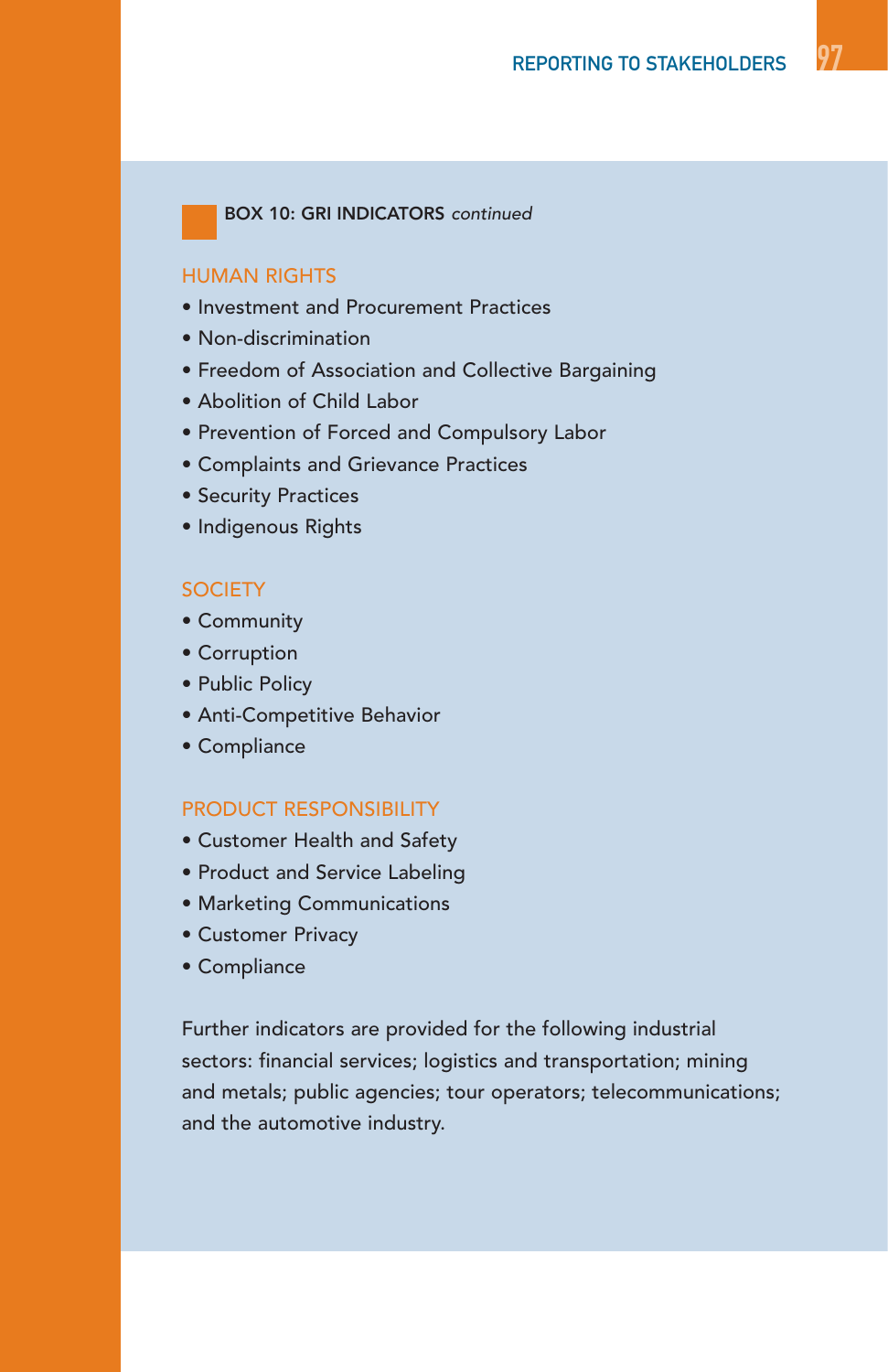#### BOX 10: GRI INDICATORS continued

#### HUMAN RIGHTS

- Investment and Procurement Practices
- Non-discrimination
- Freedom of Association and Collective Bargaining
- Abolition of Child Labor
- Prevention of Forced and Compulsory Labor
- Complaints and Grievance Practices
- Security Practices
- Indigenous Rights

#### **SOCIETY**

- Community
- Corruption
- Public Policy
- Anti-Competitive Behavior
- Compliance

## PRODUCT RESPONSIBILITY

- Customer Health and Safety
- Product and Service Labeling
- Marketing Communications
- Customer Privacy
- Compliance

Further indicators are provided for the following industrial sectors: financial services; logistics and transportation; mining and metals; public agencies; tour operators; telecommunications; and the automotive industry.